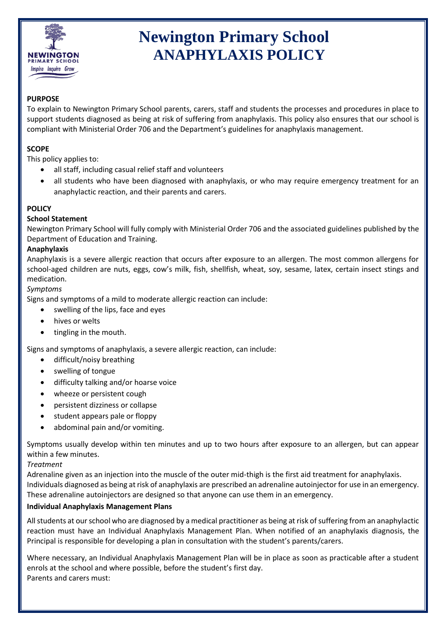

# **Newington Primary School ANAPHYLAXIS POLICY**

# **PURPOSE**

To explain to Newington Primary School parents, carers, staff and students the processes and procedures in place to support students diagnosed as being at risk of suffering from anaphylaxis. This policy also ensures that our school is compliant with Ministerial Order 706 and the Department's guidelines for anaphylaxis management.

## **SCOPE**

This policy applies to:

- all staff, including casual relief staff and volunteers
- all students who have been diagnosed with anaphylaxis, or who may require emergency treatment for an anaphylactic reaction, and their parents and carers.

# **POLICY**

#### **School Statement**

Newington Primary School will fully comply with Ministerial Order 706 and the associated guidelines published by the Department of Education and Training.

#### **Anaphylaxis**

Anaphylaxis is a severe allergic reaction that occurs after exposure to an allergen. The most common allergens for school-aged children are nuts, eggs, cow's milk, fish, shellfish, wheat, soy, sesame, latex, certain insect stings and medication.

#### *Symptoms*

Signs and symptoms of a mild to moderate allergic reaction can include:

- swelling of the lips, face and eyes
- hives or welts
- tingling in the mouth.

Signs and symptoms of anaphylaxis, a severe allergic reaction, can include:

- difficult/noisy breathing
- swelling of tongue
- difficulty talking and/or hoarse voice
- wheeze or persistent cough
- persistent dizziness or collapse
- student appears pale or floppy
- abdominal pain and/or vomiting.

Symptoms usually develop within ten minutes and up to two hours after exposure to an allergen, but can appear within a few minutes.

## *Treatment*

Adrenaline given as an injection into the muscle of the outer mid-thigh is the first aid treatment for anaphylaxis. Individuals diagnosed as being at risk of anaphylaxis are prescribed an adrenaline autoinjector for use in an emergency. These adrenaline autoinjectors are designed so that anyone can use them in an emergency.

## **Individual Anaphylaxis Management Plans**

All students at our school who are diagnosed by a medical practitioner as being at risk of suffering from an anaphylactic reaction must have an Individual Anaphylaxis Management Plan. When notified of an anaphylaxis diagnosis, the Principal is responsible for developing a plan in consultation with the student's parents/carers.

Where necessary, an Individual Anaphylaxis Management Plan will be in place as soon as practicable after a student enrols at the school and where possible, before the student's first day. Parents and carers must: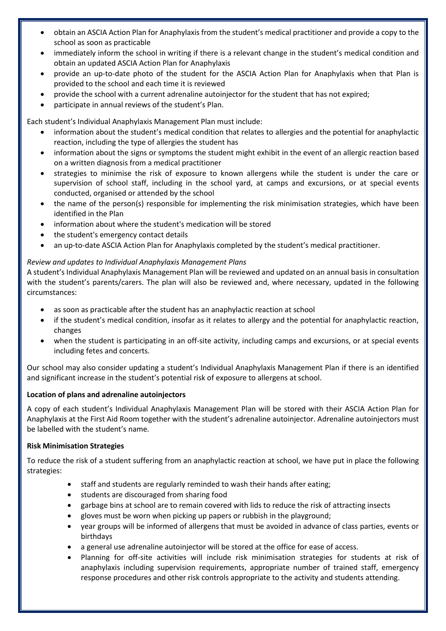- obtain an ASCIA Action Plan for Anaphylaxis from the student's medical practitioner and provide a copy to the school as soon as practicable
- immediately inform the school in writing if there is a relevant change in the student's medical condition and obtain an updated ASCIA Action Plan for Anaphylaxis
- provide an up-to-date photo of the student for the ASCIA Action Plan for Anaphylaxis when that Plan is provided to the school and each time it is reviewed
- provide the school with a current adrenaline autoinjector for the student that has not expired;
- participate in annual reviews of the student's Plan.

Each student's Individual Anaphylaxis Management Plan must include:

- information about the student's medical condition that relates to allergies and the potential for anaphylactic reaction, including the type of allergies the student has
- information about the signs or symptoms the student might exhibit in the event of an allergic reaction based on a written diagnosis from a medical practitioner
- strategies to minimise the risk of exposure to known allergens while the student is under the care or supervision of school staff, including in the school yard, at camps and excursions, or at special events conducted, organised or attended by the school
- the name of the person(s) responsible for implementing the risk minimisation strategies, which have been identified in the Plan
- information about where the student's medication will be stored
- the student's emergency contact details
- an up-to-date ASCIA Action Plan for Anaphylaxis completed by the student's medical practitioner.

# *Review and updates to Individual Anaphylaxis Management Plans*

A student's Individual Anaphylaxis Management Plan will be reviewed and updated on an annual basis in consultation with the student's parents/carers. The plan will also be reviewed and, where necessary, updated in the following circumstances:

- as soon as practicable after the student has an anaphylactic reaction at school
- if the student's medical condition, insofar as it relates to allergy and the potential for anaphylactic reaction, changes
- when the student is participating in an off-site activity, including camps and excursions, or at special events including fetes and concerts.

Our school may also consider updating a student's Individual Anaphylaxis Management Plan if there is an identified and significant increase in the student's potential risk of exposure to allergens at school.

## **Location of plans and adrenaline autoinjectors**

A copy of each student's Individual Anaphylaxis Management Plan will be stored with their ASCIA Action Plan for Anaphylaxis at the First Aid Room together with the student's adrenaline autoinjector. Adrenaline autoinjectors must be labelled with the student's name*.*

## **Risk Minimisation Strategies**

To reduce the risk of a student suffering from an anaphylactic reaction at school, we have put in place the following strategies:

- staff and students are regularly reminded to wash their hands after eating;
- **•** students are discouraged from sharing food
- garbage bins at school are to remain covered with lids to reduce the risk of attracting insects
- gloves must be worn when picking up papers or rubbish in the playground;
- year groups will be informed of allergens that must be avoided in advance of class parties, events or birthdays
- a general use adrenaline autoinjector will be stored at the office for ease of access.
- Planning for off-site activities will include risk minimisation strategies for students at risk of anaphylaxis including supervision requirements, appropriate number of trained staff, emergency response procedures and other risk controls appropriate to the activity and students attending.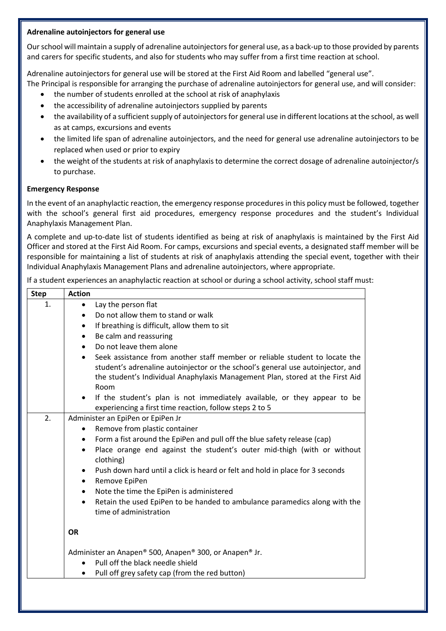#### **Adrenaline autoinjectors for general use**

Our school will maintain a supply of adrenaline autoinjectors for general use, as a back-up to those provided by parents and carers for specific students, and also for students who may suffer from a first time reaction at school.

Adrenaline autoinjectors for general use will be stored at the First Aid Room and labelled "general use".

The Principal is responsible for arranging the purchase of adrenaline autoinjectors for general use, and will consider:

- the number of students enrolled at the school at risk of anaphylaxis
- the accessibility of adrenaline autoinjectors supplied by parents
- the availability of a sufficient supply of autoinjectors for general use in different locations at the school, as well as at camps, excursions and events
- the limited life span of adrenaline autoinjectors, and the need for general use adrenaline autoinjectors to be replaced when used or prior to expiry
- the weight of the students at risk of anaphylaxis to determine the correct dosage of adrenaline autoinjector/s to purchase.

## **Emergency Response**

In the event of an anaphylactic reaction, the emergency response procedures in this policy must be followed, together with the school's general first aid procedures, emergency response procedures and the student's Individual Anaphylaxis Management Plan.

A complete and up-to-date list of students identified as being at risk of anaphylaxis is maintained by the First Aid Officer and stored at the First Aid Room. For camps, excursions and special events, a designated staff member will be responsible for maintaining a list of students at risk of anaphylaxis attending the special event, together with their Individual Anaphylaxis Management Plans and adrenaline autoinjectors, where appropriate.

If a student experiences an anaphylactic reaction at school or during a school activity, school staff must:

| <b>Step</b> | <b>Action</b>                                                                                                                                                                                                                                           |
|-------------|---------------------------------------------------------------------------------------------------------------------------------------------------------------------------------------------------------------------------------------------------------|
| 1.          | Lay the person flat<br>$\bullet$                                                                                                                                                                                                                        |
|             | Do not allow them to stand or walk                                                                                                                                                                                                                      |
|             | If breathing is difficult, allow them to sit<br>$\bullet$                                                                                                                                                                                               |
|             | Be calm and reassuring<br>$\bullet$                                                                                                                                                                                                                     |
|             | Do not leave them alone<br>$\bullet$                                                                                                                                                                                                                    |
|             | Seek assistance from another staff member or reliable student to locate the<br>student's adrenaline autoinjector or the school's general use autoinjector, and<br>the student's Individual Anaphylaxis Management Plan, stored at the First Aid<br>Room |
|             | If the student's plan is not immediately available, or they appear to be<br>experiencing a first time reaction, follow steps 2 to 5                                                                                                                     |
| 2.          | Administer an EpiPen or EpiPen Jr                                                                                                                                                                                                                       |
|             | Remove from plastic container                                                                                                                                                                                                                           |
|             | Form a fist around the EpiPen and pull off the blue safety release (cap)<br>Place orange end against the student's outer mid-thigh (with or without<br>$\bullet$<br>clothing)                                                                           |
|             | Push down hard until a click is heard or felt and hold in place for 3 seconds<br>$\bullet$<br>Remove EpiPen<br>$\bullet$                                                                                                                                |
|             | Note the time the EpiPen is administered<br>$\bullet$                                                                                                                                                                                                   |
|             | Retain the used EpiPen to be handed to ambulance paramedics along with the<br>$\bullet$<br>time of administration                                                                                                                                       |
|             | <b>OR</b>                                                                                                                                                                                                                                               |
|             | Administer an Anapen® 500, Anapen® 300, or Anapen® Jr.                                                                                                                                                                                                  |
|             | Pull off the black needle shield                                                                                                                                                                                                                        |
|             | Pull off grey safety cap (from the red button)                                                                                                                                                                                                          |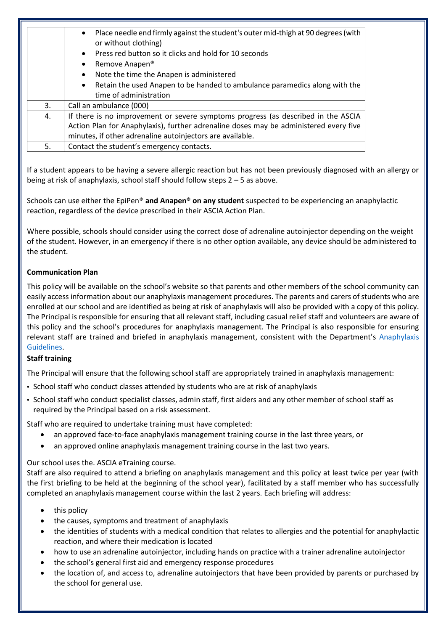|    | Place needle end firmly against the student's outer mid-thigh at 90 degrees (with<br>$\bullet$<br>or without clothing)<br>Press red button so it clicks and hold for 10 seconds<br>Remove Anapen <sup>®</sup><br>$\bullet$<br>Note the time the Anapen is administered<br>$\bullet$<br>Retain the used Anapen to be handed to ambulance paramedics along with the<br>$\bullet$<br>time of administration |
|----|----------------------------------------------------------------------------------------------------------------------------------------------------------------------------------------------------------------------------------------------------------------------------------------------------------------------------------------------------------------------------------------------------------|
| 3. | Call an ambulance (000)                                                                                                                                                                                                                                                                                                                                                                                  |
| 4. | If there is no improvement or severe symptoms progress (as described in the ASCIA<br>Action Plan for Anaphylaxis), further adrenaline doses may be administered every five<br>minutes, if other adrenaline autoinjectors are available.                                                                                                                                                                  |
| 5. | Contact the student's emergency contacts.                                                                                                                                                                                                                                                                                                                                                                |

If a student appears to be having a severe allergic reaction but has not been previously diagnosed with an allergy or being at risk of anaphylaxis, school staff should follow steps 2 – 5 as above.

Schools can use either the EpiPen® **and Anapen® on any student** suspected to be experiencing an anaphylactic reaction, regardless of the device prescribed in their ASCIA Action Plan.

Where possible, schools should consider using the correct dose of adrenaline autoinjector depending on the weight of the student. However, in an emergency if there is no other option available, any device should be administered to the student.

## **Communication Plan**

This policy will be available on the school's website so that parents and other members of the school community can easily access information about our anaphylaxis management procedures. The parents and carers of students who are enrolled at our school and are identified as being at risk of anaphylaxis will also be provided with a copy of this policy. The Principal is responsible for ensuring that all relevant staff, including casual relief staff and volunteers are aware of this policy and the school's procedures for anaphylaxis management. The Principal is also responsible for ensuring relevant staff are trained and briefed in anaphylaxis management, consistent with the Department's [Anaphylaxis](https://www2.education.vic.gov.au/pal/anaphylaxis/guidance)  [Guidelines.](https://www2.education.vic.gov.au/pal/anaphylaxis/guidance)

## **Staff training**

The Principal will ensure that the following school staff are appropriately trained in anaphylaxis management:

- School staff who conduct classes attended by students who are at risk of anaphylaxis
- School staff who conduct specialist classes, admin staff, first aiders and any other member of school staff as required by the Principal based on a risk assessment.

Staff who are required to undertake training must have completed:

- an approved face-to-face anaphylaxis management training course in the last three years, or
- an approved online anaphylaxis management training course in the last two years.

#### Our school uses the. ASCIA eTraining course.

Staff are also required to attend a briefing on anaphylaxis management and this policy at least twice per year (with the first briefing to be held at the beginning of the school year), facilitated by a staff member who has successfully completed an anaphylaxis management course within the last 2 years. Each briefing will address:

- this policy
- the causes, symptoms and treatment of anaphylaxis
- the identities of students with a medical condition that relates to allergies and the potential for anaphylactic reaction, and where their medication is located
- how to use an adrenaline autoinjector, including hands on practice with a trainer adrenaline autoinjector
- the school's general first aid and emergency response procedures
- the location of, and access to, adrenaline autoinjectors that have been provided by parents or purchased by the school for general use.